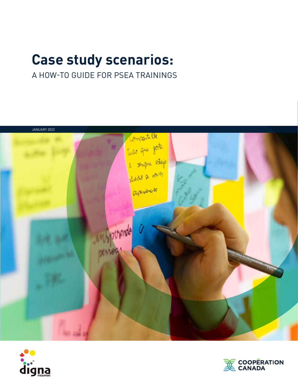# **Case study scenarios:**

## A HOW-TO GUIDE FOR PSEA TRAININGS





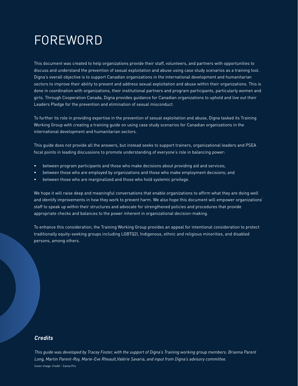# FOREWORD

This document was created to help organizations provide their staff, volunteers, and partners with opportunities to discuss and understand the prevention of sexual exploitation and abuse using case study scenarios as a training tool. Digna's overall objective is to support Canadian organizations in the international development and humanitarian sectors to improve their ability to prevent and address sexual exploitation and abuse within their organizations. This is done in coordination with organizations, their institutional partners and program participants, particularly women and girls. Through Cooperation Canada, Digna provides guidance for Canadian organizations to uphold and live out their Leaders Pledge for the prevention and elimination of sexual misconduct.

To further its role in providing expertise in the prevention of sexual exploitation and abuse, Digna tasked its Training Working Group with creating a training guide on using case study scenarios for Canadian organizations in the international development and humanitarian sectors.

This guide does not provide all the answers, but instead seeks to support trainers, organizational leaders and PSEA focal points in leading discussions to promote understanding of everyone's role in balancing power:

- between program participants and those who make decisions about providing aid and services;
- between those who are employed by organizations and those who make employment decisions; and
- between those who are marginalized and those who hold systemic privilege.

We hope it will raise deep and meaningful conversations that enable organizations to affirm what they are doing well and identify improvements in how they work to prevent harm. We also hope this document will empower organizations' staff to speak up within their structures and advocate for strengthened policies and procedures that provide appropriate checks and balances to the power inherent in organizational decision-making.

To enhance this consideration, the Training Working Group provides an appeal for intentional consideration to protect traditionally equity-seeking groups including LGBTQ2I, Indigenous, ethnic and religious minorities, and disabled persons, among others.

#### *Credits*

*This guide was developed by Tracey Foster, with the support of Digna's Training working group members: Brianna Parent Long, Martin Parent-Roy, Marie-Eve Rheault,Valérie Savaria, and input from Digna's advisory committee.* Cover image: Credit - Canva Pro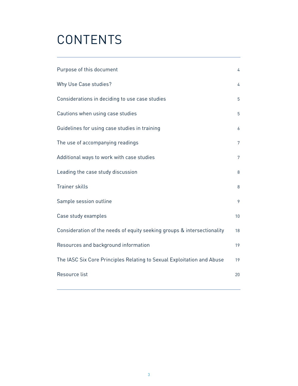# **CONTENTS**

| Purpose of this document                                                | 4               |
|-------------------------------------------------------------------------|-----------------|
| Why Use Case studies?                                                   | 4               |
| Considerations in deciding to use case studies                          | 5               |
| Cautions when using case studies                                        | 5               |
| Guidelines for using case studies in training                           | 6               |
| The use of accompanying readings                                        | $7\overline{ }$ |
| Additional ways to work with case studies                               | $7\overline{ }$ |
| Leading the case study discussion                                       | 8               |
| Trainer skills                                                          | 8               |
| Sample session outline                                                  | 9               |
| Case study examples                                                     | 10              |
| Consideration of the needs of equity seeking groups & intersectionality | 18              |
| Resources and background information                                    | 19              |
| The IASC Six Core Principles Relating to Sexual Exploitation and Abuse  | 19              |
| Resource list                                                           | 20              |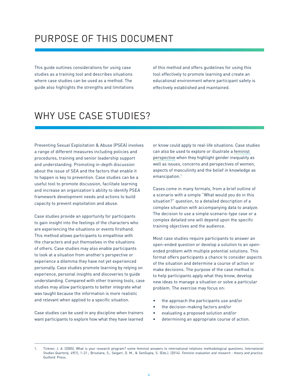## PURPOSE OF THIS DOCUMENT

This guide outlines considerations for using case studies as a training tool and describes situations where case studies can be used as a method. The guide also highlights the strengths and limitations of this method and offers guidelines for using this tool effectively to promote learning and create an educational environment where participant safety is effectively established and maintained.

## WHY USE CASE STUDIES?

Preventing Sexual Exploitation & Abuse (PSEA) involves a range of different measures including policies and procedures, training and senior leadership support and understanding. Promoting in-depth discussion about the issue of SEA and the factors that enable it to happen is key to prevention. Case studies can be a useful tool to promote discussion, facilitate learning and increase an organization's ability to identify PSEA framework development needs and actions to build capacity to prevent exploitation and abuse.

Case studies provide an opportunity for participants to gain insight into the feelings of the characters who are experiencing the situations or events firsthand. This method allows participants to empathise with the characters and put themselves in the situations of others. Case studies may also enable participants to look at a situation from another's perspective or experience a dilemma they have not yet experienced personally. Case studies promote learning by relying on experience, personal insights and discoveries to guide understanding. Compared with other training tools, case studies may allow participants to better integrate what was taught because the information is more realistic and relevant when applied to a specific situation.

Case studies can be used in any discipline when trainers want participants to explore how what they have learned

or know could apply to real-life situations. Case studies can also be used to explore or illustrate a [feminist](https://www.thoughtco.com/feminist-theory-3026624)  [perspective](https://www.thoughtco.com/feminist-theory-3026624) when they highlight gender inequality as well as issues, concerns and perspectives of women, aspects of masculinity and the belief in knowledge as emancipation.1

Cases come in many formats, from a brief outline of a scenario with a simple "What would you do in this situation?" question, to a detailed description of a complex situation with accompanying data to analyze. The decision to use a simple scenario-type case or a complex detailed one will depend upon the specific training objectives and the audience.

Most case studies require participants to answer an open-ended question or develop a solution to an openended problem with multiple potential solutions. This format offers participants a chance to consider aspects of the situation and determine a course of action or make decisions. The purpose of the case method is to help participants apply what they know, develop new ideas to manage a situation or solve a particular problem. The exercise may focus on:

- the approach the participants use and/or
- the decision-making factors and/or
- evaluating a proposed solution and/or
- determining an appropriate course of action.

<sup>1.</sup> Tickner, J. A. (2005). What is your research program? some feminist answers to international relations methodological questions. *International Studies Quarterly*, 49(1), 1–21.; Brisolara, S., Seigart, D. M., & SenGupta, S. (Eds.). (2014). *Feminist evaluation and research : theory and practice*. Guilford Press.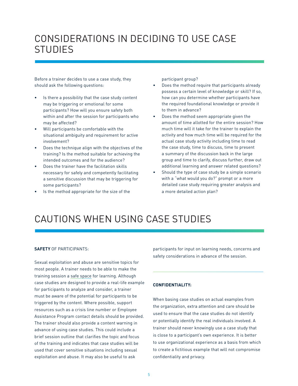## CONSIDERATIONS IN DECIDING TO USE CASE **STUDIES**

Before a trainer decides to use a case study, they should ask the following questions:

- Is there a possibility that the case study content may be triggering or emotional for some participants? How will you ensure safety both within and after the session for participants who may be affected?
- Will participants be comfortable with the situational ambiguity and requirement for active involvement?
- Does the technique align with the objectives of the training? Is the method suitable for achieving the intended outcomes and for the audience?
- Does the trainer have the facilitation skills necessary for safely and competently facilitating a sensitive discussion that may be triggering for some participants?
- Is the method appropriate for the size of the

participant group?

- Does the method require that participants already possess a certain level of knowledge or skill? If so, how can you determine whether participants have the required foundational knowledge or provide it to them in advance?
- Does the method seem appropriate given the amount of time allotted for the entire session? How much time will it take for the trainer to explain the activity and how much time will be required for the actual case study activity including time to read the case study, time to discuss, time to present a summary of the discussion back in the large group and time to clarify, discuss further, draw out additional learning and answer related questions?
- Should the type of case study be a simple scenario with a "what would you do?" prompt or a more detailed case study requiring greater analysis and a more detailed action plan?

## CAUTIONS WHEN USING CASE STUDIES

#### **SAFETY** OF PARTICIPANTS:

Sexual exploitation and abuse are sensitive topics for most people. A trainer needs to be able to make the training session a [safe space](https://safesupportivelearning.ed.gov/sites/default/files/SP2L2_E2-I-IV_LeadingGuide.pdf) for learning. Although case studies are designed to provide a real-life example for participants to analyze and consider, a trainer must be aware of the potential for participants to be triggered by the content. Where possible, support resources such as a crisis line number or Employee Assistance Program contact details should be provided. The trainer should also provide a content warning in advance of using case studies. This could include a brief session outline that clarifies the topic and focus of the training and indicates that case studies will be used that cover sensitive situations including sexual exploitation and abuse. It may also be useful to ask

participants for input on learning needs, concerns and safety considerations in advance of the session.

#### **CONFIDENTIALITY:**

When basing case studies on actual examples from the organization, extra attention and care should be used to ensure that the case studies do not identify or potentially identify the real individuals involved. A trainer should never knowingly use a case study that is close to a participant's own experience. It is better to use organizational experience as a basis from which to create a fictitious example that will not compromise confidentiality and privacy.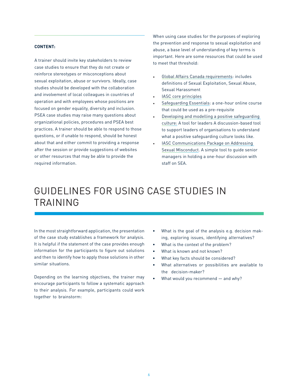#### **CONTENT:**

A trainer should invite key stakeholders to review case studies to ensure that they do not create or reinforce stereotypes or misconceptions about sexual exploitation, abuse or survivors. Ideally, case studies should be developed with the collaboration and involvement of local colleagues in countries of operation and with employees whose positions are focused on gender equality, diversity and inclusion. PSEA case studies may raise many questions about organizational policies, procedures and PSEA best practices. A trainer should be able to respond to those questions, or if unable to respond, should be honest about that and either commit to providing a response after the session or provide suggestions of websites or other resources that may be able to provide the required information.

When using case studies for the purposes of exploring the prevention and response to sexual exploitation and abuse, a base level of understanding of key terms is important. Here are some resources that could be used to meet that threshold:

- [Global Affairs Canada requirements:](https://www.digna.ca/gac-requirements/) includes definitions of Sexual Exploitation, Sexual Abuse, Sexual Harassment
- [IASC core principles](https://www.digna.ca/docs/iasc-six-core-principles-relating-to-sexual-exploitation-and-abuse-iasc/)
- [Safeguarding Essentials:](https://www.digna.ca/docs/safeguarding-essentials-kaya/) a one-hour online course that could be used as a pre-requisite
- [Developing and modelling a positive safeguarding](https://safeguarding-tool.bond.org.uk/)  [culture:](https://safeguarding-tool.bond.org.uk/) A tool for leaders A discussion-based tool to support leaders of organisations to understand what a positive safeguarding culture looks like.
- IASC Communications Package on Addressing [Sexual Misconduct](https://www.digna.ca/?s=IASC+communications). A simple tool to guide senior managers in holding a one-hour discussion with staff on SEA.

## GUIDELINES FOR USING CASE STUDIES IN TRAINING

In the most straightforward application, the presentation of the case study establishes a framework for analysis. It is helpful if the statement of the case provides enough information for the participants to figure out solutions and then to identify how to apply those solutions in other similar situations.

Depending on the learning objectives, the trainer may encourage participants to follow a systematic approach to their analysis. For example, participants could work together to brainstorm:

- What is the goal of the analysis e.g. decision making, exploring issues, identifying alternatives?
- What is the context of the problem?
- What is known and not known?
- What key facts should be considered?
- What alternatives or possibilities are available to the decision-maker?
- What would you recommend and why?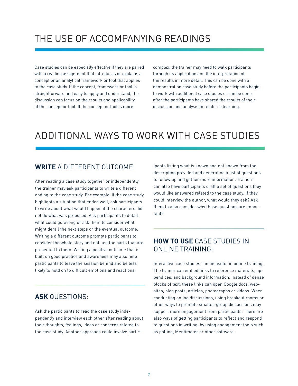## THE USE OF ACCOMPANYING READINGS

Case studies can be especially effective if they are paired with a reading assignment that introduces or explains a concept or an analytical framework or tool that applies to the case study. If the concept, framework or tool is straightforward and easy to apply and understand, the discussion can focus on the results and applicability of the concept or tool. If the concept or tool is more

complex, the trainer may need to walk participants through its application and the interpretation of the results in more detail. This can be done with a demonstration case study before the participants begin to work with additional case studies or can be done after the participants have shared the results of their discussion and analysis to reinforce learning.

## ADDITIONAL WAYS TO WORK WITH CASE STUDIES

### **WRITE** A DIFFERENT OUTCOME

After reading a case study together or independently, the trainer may ask participants to write a different ending to the case study. For example, if the case study highlights a situation that ended well, ask participants to write about what would happen if the characters did not do what was proposed. Ask participants to detail what could go wrong or ask them to consider what might derail the next steps or the eventual outcome. Writing a different outcome prompts participants to consider the whole story and not just the parts that are presented to them. Writing a positive outcome that is built on good practice and awareness may also help participants to leave the session behind and be less likely to hold on to difficult emotions and reactions.

### **ASK** QUESTIONS:

Ask the participants to read the case study independently and interview each other after reading about their thoughts, feelings, ideas or concerns related to the case study. Another approach could involve participants listing what is known and not known from the description provided and generating a list of questions to follow up and gather more information. Trainers can also have participants draft a set of questions they would like answered related to the case study. If they could interview the author, what would they ask? Ask them to also consider why those questions are important?

### **HOW TO USE** CASE STUDIES IN ONLINE TRAINING:

Interactive case studies can be useful in online training. The trainer can embed links to reference materials, appendices, and background information. Instead of dense blocks of text, these links can open Google docs, websites, blog posts, articles, photographs or videos. When conducting online discussions, using breakout rooms or other ways to promote smaller-group discussions may support more engagement from participants. There are also ways of getting participants to reflect and respond to questions in writing, by using engagement tools such as polling, Mentimeter or other software.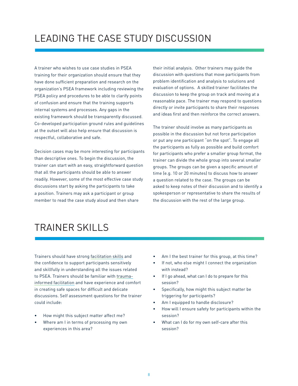## LEADING THE CASE STUDY DISCUSSION

A trainer who wishes to use case studies in PSEA training for their organization should ensure that they have done sufficient preparation and research on the organization's PSEA framework including reviewing the PSEA policy and procedures to be able to clarify points of confusion and ensure that the training supports internal systems and processes. Any gaps in the existing framework should be transparently discussed. Co-developed participation ground rules and guidelines at the outset will also help ensure that discussion is respectful, collaborative and safe.

Decision cases may be more interesting for participants than descriptive ones. To begin the discussion, the trainer can start with an easy, straightforward question that all the participants should be able to answer readily. However, some of the most effective case study discussions start by asking the participants to take a position. Trainers may ask a participant or group member to read the case study aloud and then share

their initial analysis. Other trainers may guide the discussion with questions that move participants from problem identification and analysis to solutions and evaluation of options. A skilled trainer facilitates the discussion to keep the group on track and moving at a reasonable pace. The trainer may respond to questions directly or invite participants to share their responses and ideas first and then reinforce the correct answers.

The trainer should involve as many participants as possible in the discussion but not force participation or put any one participant "on the spot". To engage all the participants as fully as possible and build comfort for participants who prefer a smaller group format, the trainer can divide the whole group into several smaller groups. The groups can be given a specific amount of time (e.g. 10 or 20 minutes) to discuss how to answer a question related to the case. The groups can be asked to keep notes of their discussion and to identify a spokesperson or representative to share the results of the discussion with the rest of the large group.

## TRAINER SKILLS

Trainers should have strong [facilitation skills](https://commonslibrary.org/checklist-for-a-great-facilitator/) and the confidence to support participants sensitively and skillfully in understanding all the issues related to PSEA. Trainers should be familiar with [trauma](http://trauma-informed facilitation)[informed facilitation](http://trauma-informed facilitation) and have experience and comfort in creating safe spaces for difficult and delicate discussions. Self assessment questions for the trainer could include:

- How might this subject matter affect me?
- Where am I in terms of processing my own experiences in this area?
- Am I the best trainer for this group, at this time?
- If not, who else might I connect the organization with instead?
- If I go ahead, what can I do to prepare for this session?
- Specifically, how might this subject matter be triggering for participants?
- Am I equipped to handle disclosure?
- How will I ensure safety for participants within the session?
- What can I do for my own self-care after this session?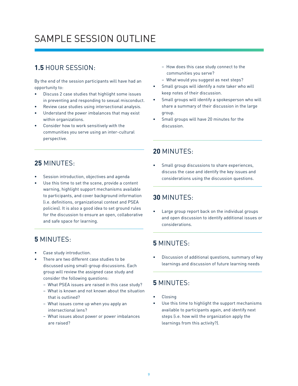## SAMPLE SESSION OUTLINE

## **1.5** HOUR SESSION:

By the end of the session participants will have had an opportunity to:

- Discuss 2 case studies that highlight some issues in preventing and responding to sexual misconduct.
- Review case studies using intersectional analysis.
- Understand the power imbalances that may exist within organizations.
- Consider how to work sensitively with the communities you serve using an inter-cultural perspective.
- How does this case study connect to the communities you serve?
- What would you suggest as next steps?
- Small groups will identify a note taker who will keep notes of their discussion.
- Small groups will identify a spokesperson who will share a summary of their discussion in the large group.
- Small groups will have 20 minutes for the discussion.

## **25** MINUTES:

- Session introduction, objectives and agenda
- Use this time to set the scene, provide a content warning, highlight support mechanisms available to participants, and cover background information (i.e. definitions, organizational context and PSEA policies). It is also a good idea to set ground rules for the discussion to ensure an open, collaborative and safe space for learning.

## **5** MINUTES:

- Case study introduction.
- There are two different case studies to be discussed using small-group discussions. Each group will review the assigned case study and consider the following questions:
	- What PSEA issues are raised in this case study?
	- What is known and not known about the situation that is outlined?
	- What issues come up when you apply an intersectional lens?
	- What issues about power or power imbalances are raised?

### **<sup>20</sup>**MINUTES:

Small group discussions to share experiences, discuss the case and identify the key issues and considerations using the discussion questions.

## **<sup>30</sup>**MINUTES:

Large group report back on the individual groups and open discussion to identify additional issues or considerations.

## **5** MINUTES:

Discussion of additional questions, summary of key learnings and discussion of future learning needs

## **5** MINUTES:

- **Closing**
- Use this time to highlight the support mechanisms available to participants again, and identify next steps (i.e. how will the organization apply the learnings from this activity?).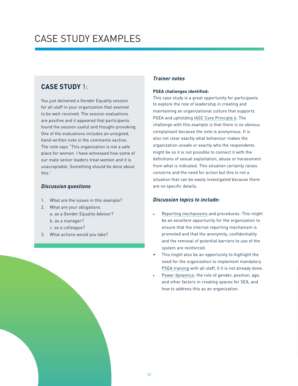## CASE STUDY EXAMPLES

### **CASE STUDY** 1:

You just delivered a Gender Equality session for all staff in your organization that seemed to be well-received. The session evaluations are positive and it appeared that participants found the session useful and thought-provoking. One of the evaluations includes an unsigned, hand-written note in the comments section. The note says "This organization is not a safe place for women. I have witnessed how some of our male senior leaders treat women and it is unacceptable. Something should be done about this."

#### *Discussion questions*

- 1. What are the issues in this example?
- 2. What are your obligations
- a. as a Gender Equality Advisor? b. as a manager? c. as a colleague?
- 3. What actions would you take?

#### *Trainer notes*

#### **PSEA challenges identified:**

This case study is a great opportunity for participants to explore the role of leadership in creating and maintaining an organizational culture that supports PSEA and upholding [IASC Core Principle 6.](https://www.digna.ca/docs/iasc-six-core-principles-relating-to-sexual-exploitation-and-abuse-iasc/) The challenge with this example is that there is no obvious complainant because the note is anonymous. It is also not clear exactly what behaviour makes the organization unsafe or exactly who the respondents might be so it is not possible to connect it with the definitions of sexual exploitation, abuse or harassment from what is indicated. This situation certainly raises concerns and the need for action but this is not a situation that can be easily investigated because there are no specific details.

- [Reporting mechanisms](https://www.unhcr.org/admin/execoffice/4a1278f06/how-to-report-misconduct.html) and procedures: This might be an excellent opportunity for the organization to ensure that the internal reporting mechanism is promoted and that the anonymity, confidentiality and the removal of potential barriers to use of the system are reinforced.
- This might also be an opportunity to highlight the need for the organization to implement mandatory [PSEA training](https://www.digna.ca/docs/course-materials-for-preventing-sexual-exploitation-and-abuse-interaction/) with all staff, if it is not already done.
- [Power dynamics:](https://msw.usc.edu/mswusc-blog/diversity-workshop-guide-to-discussing-identity-power-and-privilege/) the role of gender, position, age, and other factors in creating spaces for SEA, and how to address this as an organization.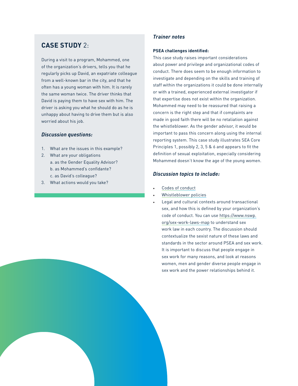### **CASE STUDY** 2:

During a visit to a program, Mohammed, one of the organization's drivers, tells you that he regularly picks up David, an expatriate colleague from a well-known bar in the city, and that he often has a young woman with him. It is rarely the same woman twice. The driver thinks that David is paying them to have sex with him. The driver is asking you what he should do as he is unhappy about having to drive them but is also worried about his job.

#### *Discussion questions:*

- 1. What are the issues in this example?
- 2. What are your obligations a. as the Gender Equality Advisor? b. as Mohammed's confidante? c. as David's colleague?
- 3. What actions would you take?

#### *Trainer notes*

#### **PSEA challenges identified:**

This case study raises important considerations about power and privilege and organizational codes of conduct. There does seem to be enough information to investigate and depending on the skills and training of staff within the organizations it could be done internally or with a trained, experienced external investigator if that expertise does not exist within the organization. Mohammed may need to be reassured that raising a concern is the right step and that if complaints are made in good faith there will be no retaliation against the whistleblower. As the gender advisor, it would be important to pass this concern along using the internal reporting system. This case study illustrates SEA Core Principles 1, possibly 2, 3, 5 & 6 and appears to fit the definition of sexual exploitation, especially considering Mohammed doesn't know the age of the young women.

- [Codes of conduct](https://www.digna.ca/docs/template-of-a-code-of-conduct-for-prevention-and-response-to-sexual-violence/)
- [Whistleblower policies](https://www.digna.ca/docs/whistleblower-protection-policy/)
- Legal and cultural contexts around transactional sex, and how this is defined by your organization's code of conduct. You can use [https://www.nswp.](https://www.nswp.org/sex-work-laws-map) [org/sex-work-laws-map](https://www.nswp.org/sex-work-laws-map) to understand sex work law in each country. The discussion should contextualize the sexist nature of these laws and standards in the sector around PSEA and sex work. It is important to discuss that people engage in sex work for many reasons, and look at reasons women, men and gender diverse people engage in sex work and the power relationships behind it.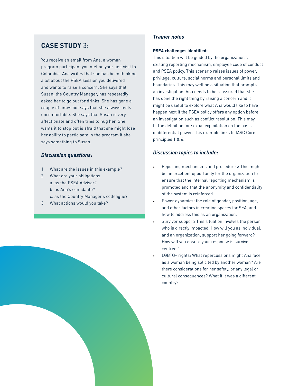### **CASE STUDY** 3:

You receive an email from Ana, a woman program participant you met on your last visit to Colombia. Ana writes that she has been thinking a lot about the PSEA session you delivered and wants to raise a concern. She says that Susan, the Country Manager, has repeatedly asked her to go out for drinks. She has gone a couple of times but says that she always feels uncomfortable. She says that Susan is very affectionate and often tries to hug her. She wants it to stop but is afraid that she might lose her ability to participate in the program if she says something to Susan.

#### *Discussion questions:*

- 1. What are the issues in this example?
- 2. What are your obligations a. as the PSEA Advisor? b. as Ana's confidante? c. as the Country Manager's colleague?
- 3. What actions would you take?

#### *Trainer notes*

#### **PSEA challenges identified:**

This situation will be guided by the organization's existing reporting mechanism, employee code of conduct and PSEA policy. This scenario raises issues of power, privilege, culture, social norms and personal limits and boundaries. This may well be a situation that prompts an investigation. Ana needs to be reassured that she has done the right thing by raising a concern and it might be useful to explore what Ana would like to have happen next if the PSEA policy offers any option before an investigation such as conflict resolution. This may fit the definition for sexual exploitation on the basis of differential power. This example links to IASC Core principles 1 & 6.

#### *Discussion topics to include:*

- Reporting mechanisms and procedures: This might be an excellent opportunity for the organization to ensure that the internal reporting mechanism is promoted and that the anonymity and confidentiality of the system is reinforced.
- Power dynamics: the role of gender, position, age, and other factors in creating spaces for SEA, and how to address this as an organization.
- [Survivor support:](https://www.digna.ca/docs/accompanying-survivors-aqoci-and-digna/) This situation involves the person who is directly impacted. How will you as individual, and an organization, support her going forward? How will you ensure your response is survivorcentred?
- LGBTQ+ rights: What repercussions might Ana face as a woman being solicited by another woman? Are there considerations for her safety, or any legal or cultural consequences? What if it was a different country?

12 13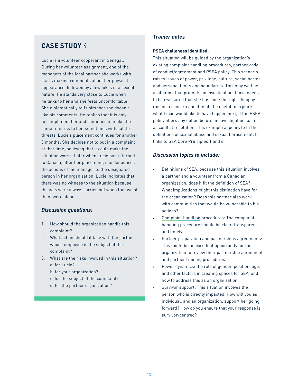### **CASE STUDY** 4:

Lucie is a volunteer cooperant in Senegal. During her volunteer assignment, one of the managers of the local partner she works with starts making comments about her physical appearance, followed by a few jokes of a sexual nature. He stands very close to Lucie when he talks to her and she feels uncomfortable. She diplomatically tells him that she doesn't like his comments. He replies that it is only to compliment her and continues to make the same remarks to her, sometimes with subtle threats. Lucie's placement continues for another 3 months. She decides not to put in a complaint at that time, believing that it could make the situation worse. Later when Lucie has returned to Canada, after her placement, she denounces the actions of the manager to the designated person in her organization. Lucie indicates that there was no witness to the situation because the acts were always carried out when the two of them were alone.

#### *Discussion questions:*

- 1. How should the organization handle this complaint?
- 2. What action should it take with the partner whose employee is the subject of the complaint?
- 3. What are the risks involved in this situation? a. for Lucie?
	- b. for your organization?
	- c. for the subject of the complaint?
	- d. for the partner organization?

#### *Trainer notes*

#### **PSEA challenges identified:**

This situation will be guided by the organization's existing complaint handling procedures, partner code of conduct/agreement and PSEA policy. This scenario raises issues of power, privilege, culture, social norms and personal limits and boundaries. This may well be a situation that prompts an investigation. Lucie needs to be reassured that she has done the right thing by raising a concern and it might be useful to explore what Lucie would like to have happen next, if the PSEA policy offers any option before an investigation such as conflict resolution. This example appears to fit the definitions of sexual abuse and sexual harassment. It links to SEA Core Principles 1 and 6.

- Definitions of SEA: because this situation involves a partner and a volunteer from a Canadian organization, does it fit the definition of SEA? What implications might this distinction have for the organization? Does this partner also work with communities that would be vulnerable to his actions?
- [Complaint handling](https://www.digna.ca/docs/how-to-report-misconduct-unhcr/) procedures: The complaint handling procedure should be clear, transparent and timely.
- [Partner preparation](https://www.digna.ca/docs/psea-assessment-psea-toolkit-for-cso-partners-unicef/) and partnerships agreements: This might be an excellent opportunity for the organization to review their partnership agreement and partner training procedures.
- Power dynamics: the role of gender, position, age, and other factors in creating spaces for SEA, and how to address this as an organization.
- Survivor support: This situation involves the person who is directly impacted. How will you as individual, and an organization, support her going forward? How do you ensure that your response is survivor-centred?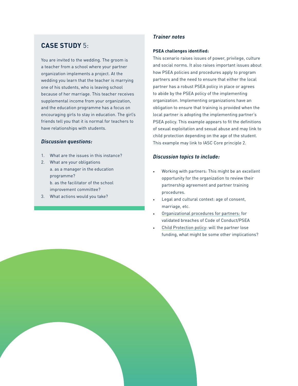### **CASE STUDY** 5:

You are invited to the wedding. The groom is a teacher from a school where your partner organization implements a project. At the wedding you learn that the teacher is marrying one of his students, who is leaving school because of her marriage. This teacher receives supplemental income from your organization, and the education programme has a focus on encouraging girls to stay in education. The girl's friends tell you that it is normal for teachers to have relationships with students.

#### *Discussion questions:*

- 1. What are the issues in this instance?
- 2. What are your obligations a. as a manager in the education programme? b. as the facilitator of the school improvement committee?
- 3. What actions would you take?

#### *Trainer notes*

#### **PSEA challenges identified:**

This scenario raises issues of power, privilege, culture and social norms. It also raises important issues about how PSEA policies and procedures apply to program partners and the need to ensure that either the local partner has a robust PSEA policy in place or agrees to abide by the PSEA policy of the implementing organization. Implementing organizations have an obligation to ensure that training is provided when the local partner is adopting the implementing partner's PSEA policy. This example appears to fit the definitions of sexual exploitation and sexual abuse and may link to child protection depending on the age of the student. This example may link to IASC Core principle 2.

#### *Discussion topics to include:*

- Working with partners: This might be an excellent opportunity for the organization to review their partnership agreement and partner training procedures.
- Legal and cultural context: age of consent, marriage, etc.
- [Organizational procedures for partners:](https://www.digna.ca/docs/partnership-management-policy-child-and-adult-safeguarding/) for validated breaches of Code of Conduct/PSEA
- [Child Protection policy:](https://www.digna.ca/docs/child-protection-policy/) will the partner lose funding, what might be some other implications?

14 15 16 16 16 17 16 17 16 17 16 17 16 17 16 17 16 17 16 17 16 17 16 17 16 17 16 17 16 17 16 17 16 1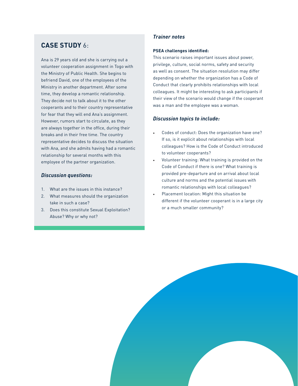### **CASE STUDY** 6:

Ana is 29 years old and she is carrying out a volunteer cooperation assignment in Togo with the Ministry of Public Health. She begins to befriend David, one of the employees of the Ministry in another department. After some time, they develop a romantic relationship. They decide not to talk about it to the other cooperants and to their country representative for fear that they will end Ana's assignment. However, rumors start to circulate, as they are always together in the office, during their breaks and in their free time. The country representative decides to discuss the situation with Ana, and she admits having had a romantic relationship for several months with this employee of the partner organization.

#### *Discussion questions:*

- 1. What are the issues in this instance?
- 2. What measures should the organization take in such a case?
- 3. Does this constitute Sexual Exploitation? Abuse? Why or why not?

#### *Trainer notes*

#### **PSEA challenges identified:**

This scenario raises important issues about power, privilege, culture, social norms, safety and security as well as consent. The situation resolution may differ depending on whether the organization has a Code of Conduct that clearly prohibits relationships with local colleagues. It might be interesting to ask participants if their view of the scenario would change if the cooperant was a man and the employee was a woman.

- Codes of conduct: Does the organization have one? If so, is it explicit about relationships with local colleagues? How is the Code of Conduct introduced to volunteer cooperants?
- Volunteer training: What training is provided on the Code of Conduct if there is one? What training is provided pre-departure and on arrival about local culture and norms and the potential issues with romantic relationships with local colleagues?
- Placement location: Might this situation be different if the volunteer cooperant is in a large city or a much smaller community?

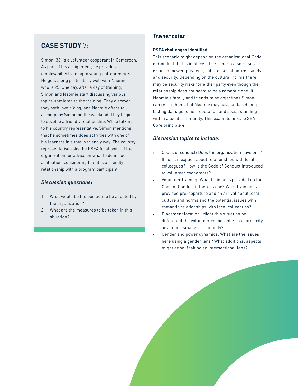### **CASE STUDY** 7:

Simon, 33, is a volunteer cooperant in Cameroon. As part of his assignment, he provides employability training to young entrepreneurs. He gets along particularly well with Naomie, who is 25. One day, after a day of training, Simon and Naomie start discussing various topics unrelated to the training. They discover they both love hiking, and Naomie offers to accompany Simon on the weekend. They begin to develop a friendly relationship. While talking to his country representative, Simon mentions that he sometimes does activities with one of his learners in a totally friendly way. The country representative asks the PSEA focal point of the organization for advice on what to do in such a situation, considering that it is a friendly relationship with a program participant.

#### *Discussion questions:*

- 1. What would be the position to be adopted by the organization?
- 2. What are the measures to be taken in this situation?

#### *Trainer notes*

#### **PSEA challenges identified:**

This scenario might depend on the organizational Code of Conduct that is in place. The scenario also raises issues of power, privilege, culture, social norms, safety and security. Depending on the cultural norms there may be security risks for either party even though the relationship does not seem to be a romantic one. If Naomie's family and friends raise objections Simon can return home but Naomie may have suffered longlasting damage to her reputation and social standing within a local community. This example links to SEA Core principle 4.

- Codes of conduct: Does the organization have one? If so, is it explicit about relationships with local colleagues? How is the Code of Conduct introduced to volunteer cooperants?
- [Volunteer training:](https://www.digna.ca/docs/best-practices-for-training-on-sexual-violence/) What training is provided on the Code of Conduct if there is one? What training is provided pre-departure and on arrival about local culture and norms and the potential issues with romantic relationships with local colleagues?
- Placement location: Might this situation be different if the volunteer cooperant is in a large city or a much smaller community?
- [Gender](https://www.digna.ca/docs/explore-gadns-resources-gadn/) and power dynamics: What are the issues here using a gender lens? What additional aspects might arise if taking an intersectional lens?

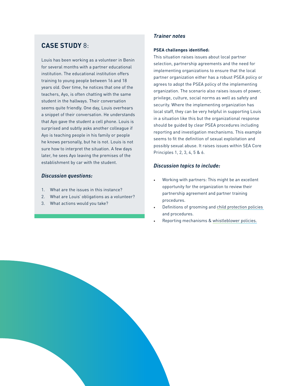### **CASE STUDY** 8:

Louis has been working as a volunteer in Benin for several months with a partner educational institution. The educational institution offers training to young people between 16 and 18 years old. Over time, he notices that one of the teachers, Ayo, is often chatting with the same student in the hallways. Their conversation seems quite friendly. One day, Louis overhears a snippet of their conversation. He understands that Ayo gave the student a cell phone. Louis is surprised and subtly asks another colleague if Ayo is teaching people in his family or people he knows personally, but he is not. Louis is not sure how to interpret the situation. A few days later, he sees Ayo leaving the premises of the establishment by car with the student.

#### *Discussion questions:*

- 1. What are the issues in this instance?
- 2. What are Louis' obligations as a volunteer?
- 3. What actions would you take?

#### *Trainer notes*

#### **PSEA challenges identified:**

This situation raises issues about local partner selection, partnership agreements and the need for implementing organizations to ensure that the local partner organization either has a robust PSEA policy or agrees to adopt the PSEA policy of the implementing organization. The scenario also raises issues of power, privilege, culture, social norms as well as safety and security. Where the implementing organization has local staff, they can be very helpful in supporting Louis in a situation like this but the organizational response should be guided by clear PSEA procedures including reporting and investigation mechanisms. This example seems to fit the definition of sexual exploitation and possibly sexual abuse. It raises issues within SEA Core Principles 1, 2, 3, 4, 5 & 6.

- Working with partners: This might be an excellent opportunity for the organization to review their partnership agreement and partner training procedures.
- Definitions of grooming and [child protection policies](https://girlseducationchallenge.org/media/ftvjxa5u/protection_is_possible_report_final.pdf?fbclid=IwAR1fTgKKHFVkL17hsj2wey_y4ORieHktAdppn29axjPHkcF3YzuF-06KC3w)  and procedures.
- Reporting mechanisms & [whistleblower policies.](https://www.digna.ca/docs/whistleblower-policy/)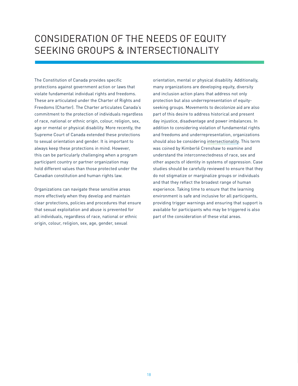## CONSIDERATION OF THE NEEDS OF EQUITY SEEKING GROUPS & INTERSECTIONALITY

The Constitution of Canada provides specific protections against government action or laws that violate fundamental individual rights and freedoms. These are articulated under the Charter of Rights and Freedoms (Charter). The Charter articulates Canada's commitment to the protection of individuals regardless of race, national or ethnic origin, colour, religion, sex, age or mental or physical disability. More recently, the Supreme Court of Canada extended these protections to sexual orientation and gender. It is important to always keep these protections in mind. However, this can be particularly challenging when a program participant country or partner organization may hold different values than those protected under the Canadian constitution and human rights law.

Organizations can navigate these sensitive areas more effectively when they develop and maintain clear protections, policies and procedures that ensure that sexual exploitation and abuse is prevented for all individuals, regardless of race, national or ethnic origin, colour, religion, sex, age, gender, sexual

orientation, mental or physical disability. Additionally, many organizations are developing equity, diversity and inclusion action plans that address not only protection but also underrepresentation of equityseeking groups. Movements to decolonize aid are also part of this desire to address historical and present day injustice, disadvantage and power imbalances. In addition to considering violation of fundamental rights and freedoms and underrepresentation, organizations should also be considering [intersectionality.](https://www.ncbi.nlm.nih.gov/pmc/articles/PMC4181947/) This term was coined by Kimberlé Crenshaw to examine and understand the interconnectedness of race, sex and other aspects of identity in systems of oppression. Case studies should be carefully reviewed to ensure that they do not stigmatize or marginalize groups or individuals and that they reflect the broadest range of human experience. Taking time to ensure that the learning environment is safe and inclusive for all participants, providing trigger warnings and ensuring that support is available for participants who may be triggered is also part of the consideration of these vital areas.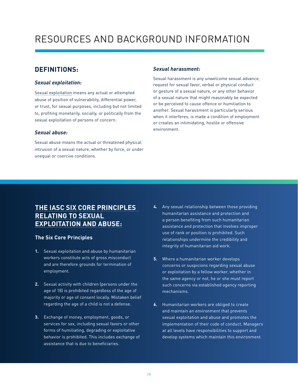## RESOURCES AND BACKGROUND INFORMATION

### **DEFINITIONS:**

#### *Sexual exploitation:*

[Sexual exploitation](https://www.digna.ca/docs/understanding-the-differences-between-sexual-exploitation-and-abuse-sexual-harassment-and-sexual-and-gender-based-violence-iasc/) means any actual or attempted abuse of position of vulnerability, differential power, or trust, for sexual purposes, including but not limited to, profiting monetarily, socially, or politically from the sexual exploitation of persons of concern.

#### *Sexual abuse:*

Sexual abuse means the actual or threatened physical intrusion of a sexual nature, whether by force, or under unequal or coercive conditions.

#### *Sexual harassment:*

Sexual harassment is any unwelcome sexual advance, request for sexual favor, verbal or physical conduct or gesture of a sexual nature, or any other behavior of a sexual nature that might reasonably be expected or be perceived to cause offence or humiliation to another. Sexual harassment is particularly serious when it interferes, is made a condition of employment or creates an intimidating, hostile or offensive environment.

### **[THE IASC SIX CORE PRINCIPLES](https://interagencystandingcommittee.org/inter-agency-standing-committee/iasc-six-core-principles-relating-sexual-exploitation-and-abuse)  [RELATING TO SEXUAL](https://interagencystandingcommittee.org/inter-agency-standing-committee/iasc-six-core-principles-relating-sexual-exploitation-and-abuse)  [EXPLOITATION AND ABUSE:](https://interagencystandingcommittee.org/inter-agency-standing-committee/iasc-six-core-principles-relating-sexual-exploitation-and-abuse)**

#### **The Six Core Principles**

- **1.** Sexual exploitation and abuse by humanitarian workers constitute acts of gross misconduct and are therefore grounds for termination of employment.
- **2.** Sexual activity with children (persons under the age of 18) is prohibited regardless of the age of majority or age of consent locally. Mistaken belief regarding the age of a child is not a defense.
- **3.** Exchange of money, employment, goods, or services for sex, including sexual favors or other forms of humiliating, degrading or exploitative behavior is prohibited. This includes exchange of assistance that is due to beneficiaries.
- **4.** Any sexual relationship between those providing humanitarian assistance and protection and a person benefiting from such humanitarian assistance and protection that involves improper use of rank or position is prohibited. Such relationships undermine the credibility and integrity of humanitarian aid work.
- **5.** Where a humanitarian worker develops concerns or suspicions regarding sexual abuse or exploitation by a fellow worker, whether in the same agency or not, he or she must report such concerns via established agency reporting mechanisms.
- **6.** Humanitarian workers are obliged to create and maintain an environment that prevents sexual exploitation and abuse and promotes the implementation of their code of conduct. Managers at all levels have responsibilities to support and develop systems which maintain this environment.